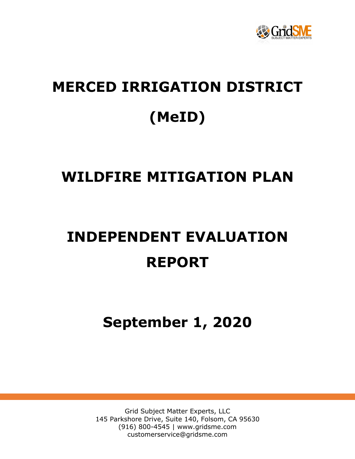

# **MERCED IRRIGATION DISTRICT (MeID)**

# **WILDFIRE MITIGATION PLAN**

# **INDEPENDENT EVALUATION REPORT**

**September 1, 2020**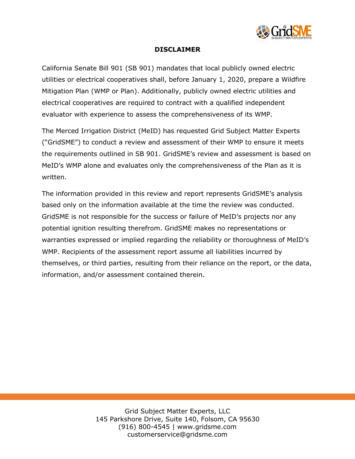

#### **DISCLAIMER**

California Senate Bill 901 (SB 901) mandates that local publicly owned electric utilities or electrical cooperatives shall, before January 1, 2020, prepare a Wildfire Mitigation Plan (WMP or Plan). Additionally, publicly owned electric utilities and electrical cooperatives are required to contract with a qualified independent evaluator with experience to assess the comprehensiveness of its WMP.

The Merced Irrigation District (MeID) has requested Grid Subject Matter Experts ("GridSME") to conduct a review and assessment of their WMP to ensure it meets the requirements outlined in SB 901. GridSME's review and assessment is based on MeID's WMP alone and evaluates only the comprehensiveness of the Plan as it is written.

The information provided in this review and report represents GridSME's analysis based only on the information available at the time the review was conducted. GridSME is not responsible for the success or failure of MeID's projects nor any potential ignition resulting therefrom. GridSME makes no representations or warranties expressed or implied regarding the reliability or thoroughness of MeID's WMP. Recipients of the assessment report assume all liabilities incurred by themselves, or third parties, resulting from their reliance on the report, or the data, information, and/or assessment contained therein.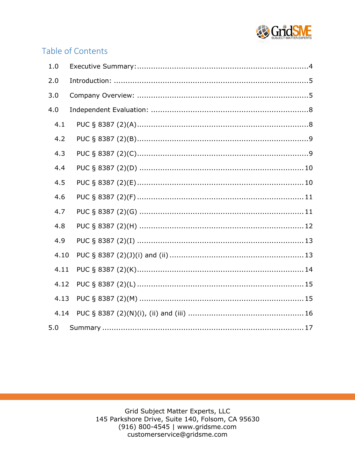

# Table of Contents

| 1.0  |  |
|------|--|
| 2.0  |  |
| 3.0  |  |
| 4.0  |  |
| 4.1  |  |
| 4.2  |  |
| 4.3  |  |
| 4.4  |  |
| 4.5  |  |
| 4.6  |  |
| 4.7  |  |
| 4.8  |  |
| 4.9  |  |
| 4.10 |  |
| 4.11 |  |
| 4.12 |  |
| 4.13 |  |
| 4.14 |  |
| 5.0  |  |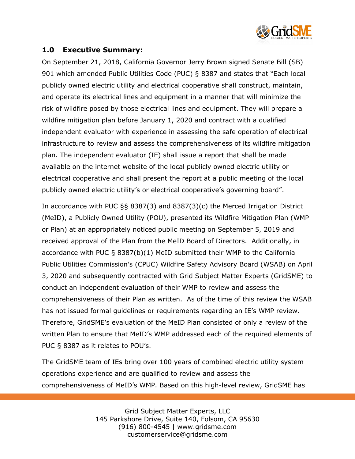

#### **1.0 Executive Summary:**

On September 21, 2018, California Governor Jerry Brown signed Senate Bill (SB) 901 which amended Public Utilities Code (PUC) § 8387 and states that "Each local publicly owned electric utility and electrical cooperative shall construct, maintain, and operate its electrical lines and equipment in a manner that will minimize the risk of wildfire posed by those electrical lines and equipment. They will prepare a wildfire mitigation plan before January 1, 2020 and contract with a qualified independent evaluator with experience in assessing the safe operation of electrical infrastructure to review and assess the comprehensiveness of its wildfire mitigation plan. The independent evaluator (IE) shall issue a report that shall be made available on the internet website of the local publicly owned electric utility or electrical cooperative and shall present the report at a public meeting of the local publicly owned electric utility's or electrical cooperative's governing board".

In accordance with PUC §§ 8387(3) and 8387(3)(c) the Merced Irrigation District (MeID), a Publicly Owned Utility (POU), presented its Wildfire Mitigation Plan (WMP or Plan) at an appropriately noticed public meeting on September 5, 2019 and received approval of the Plan from the MeID Board of Directors. Additionally, in accordance with PUC § 8387(b)(1) MeID submitted their WMP to the California Public Utilities Commission's (CPUC) Wildfire Safety Advisory Board (WSAB) on April 3, 2020 and subsequently contracted with Grid Subject Matter Experts (GridSME) to conduct an independent evaluation of their WMP to review and assess the comprehensiveness of their Plan as written. As of the time of this review the WSAB has not issued formal guidelines or requirements regarding an IE's WMP review. Therefore, GridSME's evaluation of the MeID Plan consisted of only a review of the written Plan to ensure that MeID's WMP addressed each of the required elements of PUC § 8387 as it relates to POU's.

The GridSME team of IEs bring over 100 years of combined electric utility system operations experience and are qualified to review and assess the comprehensiveness of MeID's WMP. Based on this high-level review, GridSME has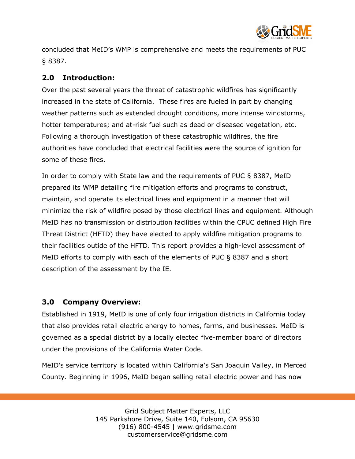

concluded that MeID's WMP is comprehensive and meets the requirements of PUC § 8387.

# **2.0 Introduction:**

Over the past several years the threat of catastrophic wildfires has significantly increased in the state of California. These fires are fueled in part by changing weather patterns such as extended drought conditions, more intense windstorms, hotter temperatures; and at-risk fuel such as dead or diseased vegetation, etc. Following a thorough investigation of these catastrophic wildfires, the fire authorities have concluded that electrical facilities were the source of ignition for some of these fires.

In order to comply with State law and the requirements of PUC § 8387, MeID prepared its WMP detailing fire mitigation efforts and programs to construct, maintain, and operate its electrical lines and equipment in a manner that will minimize the risk of wildfire posed by those electrical lines and equipment. Although MeID has no transmission or distribution facilities within the CPUC defined High Fire Threat District (HFTD) they have elected to apply wildfire mitigation programs to their facilities outide of the HFTD. This report provides a high-level assessment of MeID efforts to comply with each of the elements of PUC § 8387 and a short description of the assessment by the IE.

#### **3.0 Company Overview:**

Established in 1919, MeID is one of only four irrigation districts in California today that also provides retail electric energy to homes, farms, and businesses. MeID is governed as a special district by a locally elected five-member board of directors under the provisions of the California Water Code.

MeID's service territory is located within California's San Joaquin Valley, in Merced County. Beginning in 1996, MeID began selling retail electric power and has now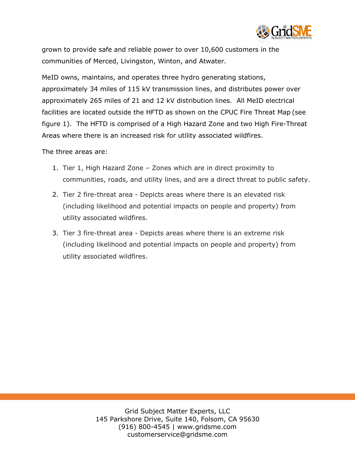

grown to provide safe and reliable power to over 10,600 customers in the communities of Merced, Livingston, Winton, and Atwater.

MeID owns, maintains, and operates three hydro generating stations, approximately 34 miles of 115 kV transmission lines, and distributes power over approximately 265 miles of 21 and 12 kV distribution lines. All MeID electrical facilities are located outside the HFTD as shown on the CPUC Fire Threat Map (see figure 1). The HFTD is comprised of a High Hazard Zone and two High Fire-Threat Areas where there is an increased risk for utility associated wildfires.

The three areas are:

- 1. Tier 1, High Hazard Zone Zones which are in direct proximity to communities, roads, and utility lines, and are a direct threat to public safety.
- 2. Tier 2 fire-threat area Depicts areas where there is an elevated risk (including likelihood and potential impacts on people and property) from utility associated wildfires.
- 3. Tier 3 fire-threat area Depicts areas where there is an extreme risk (including likelihood and potential impacts on people and property) from utility associated wildfires.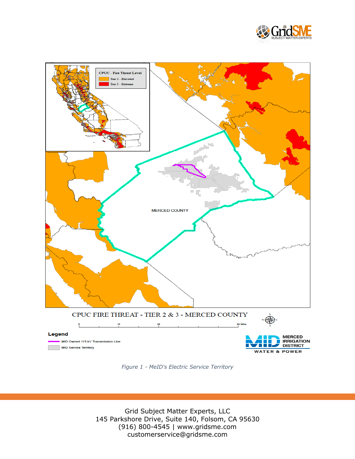



*Figure 1 - MeID's Electric Service Territory*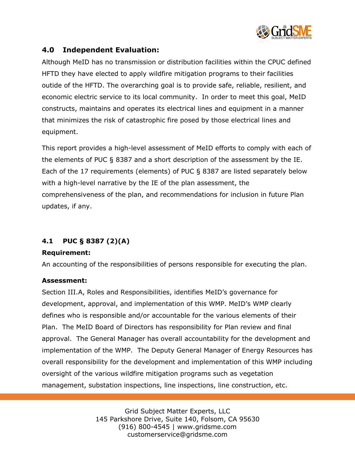

# **4.0 Independent Evaluation:**

Although MeID has no transmission or distribution facilities within the CPUC defined HFTD they have elected to apply wildfire mitigation programs to their facilities outide of the HFTD. The overarching goal is to provide safe, reliable, resilient, and economic electric service to its local community. In order to meet this goal, MeID constructs, maintains and operates its electrical lines and equipment in a manner that minimizes the risk of catastrophic fire posed by those electrical lines and equipment.

This report provides a high-level assessment of MeID efforts to comply with each of the elements of PUC § 8387 and a short description of the assessment by the IE. Each of the 17 requirements (elements) of PUC § 8387 are listed separately below with a high-level narrative by the IE of the plan assessment, the comprehensiveness of the plan, and recommendations for inclusion in future Plan updates, if any.

## **4.1 PUC § 8387 (2)(A)**

#### **Requirement:**

An accounting of the responsibilities of persons responsible for executing the plan.

#### **Assessment:**

Section III.A, Roles and Responsibilities, identifies MeID's governance for development, approval, and implementation of this WMP. MeID's WMP clearly defines who is responsible and/or accountable for the various elements of their Plan. The MeID Board of Directors has responsibility for Plan review and final approval. The General Manager has overall accountability for the development and implementation of the WMP. The Deputy General Manager of Energy Resources has overall responsibility for the development and implementation of this WMP including oversight of the various wildfire mitigation programs such as vegetation management, substation inspections, line inspections, line construction, etc.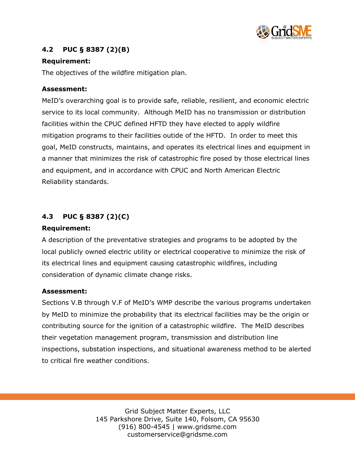

# **4.2 PUC § 8387 (2)(B)**

#### **Requirement:**

The objectives of the wildfire mitigation plan.

#### **Assessment:**

MeID's overarching goal is to provide safe, reliable, resilient, and economic electric service to its local community. Although MeID has no transmission or distribution facilities within the CPUC defined HFTD they have elected to apply wildfire mitigation programs to their facilities outide of the HFTD. In order to meet this goal, MeID constructs, maintains, and operates its electrical lines and equipment in a manner that minimizes the risk of catastrophic fire posed by those electrical lines and equipment, and in accordance with CPUC and North American Electric Reliability standards.

# **4.3 PUC § 8387 (2)(C)**

#### **Requirement:**

A description of the preventative strategies and programs to be adopted by the local publicly owned electric utility or electrical cooperative to minimize the risk of its electrical lines and equipment causing catastrophic wildfires, including consideration of dynamic climate change risks.

#### **Assessment:**

Sections V.B through V.F of MeID's WMP describe the various programs undertaken by MeID to minimize the probability that its electrical facilities may be the origin or contributing source for the ignition of a catastrophic wildfire. The MeID describes their vegetation management program, transmission and distribution line inspections, substation inspections, and situational awareness method to be alerted to critical fire weather conditions.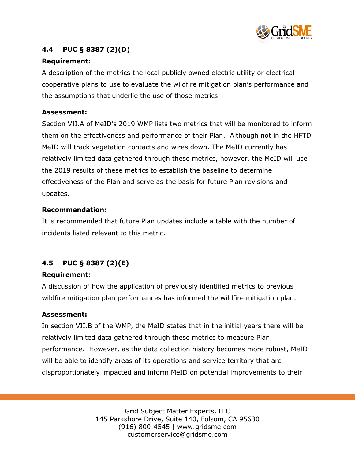

# **4.4 PUC § 8387 (2)(D)**

#### **Requirement:**

A description of the metrics the local publicly owned electric utility or electrical cooperative plans to use to evaluate the wildfire mitigation plan's performance and the assumptions that underlie the use of those metrics.

#### **Assessment:**

Section VII.A of MeID's 2019 WMP lists two metrics that will be monitored to inform them on the effectiveness and performance of their Plan. Although not in the HFTD MeID will track vegetation contacts and wires down. The MeID currently has relatively limited data gathered through these metrics, however, the MeID will use the 2019 results of these metrics to establish the baseline to determine effectiveness of the Plan and serve as the basis for future Plan revisions and updates.

#### **Recommendation:**

It is recommended that future Plan updates include a table with the number of incidents listed relevant to this metric.

## **4.5 PUC § 8387 (2)(E)**

#### **Requirement:**

A discussion of how the application of previously identified metrics to previous wildfire mitigation plan performances has informed the wildfire mitigation plan.

#### **Assessment:**

In section VII.B of the WMP, the MeID states that in the initial years there will be relatively limited data gathered through these metrics to measure Plan performance. However, as the data collection history becomes more robust, MeID will be able to identify areas of its operations and service territory that are disproportionately impacted and inform MeID on potential improvements to their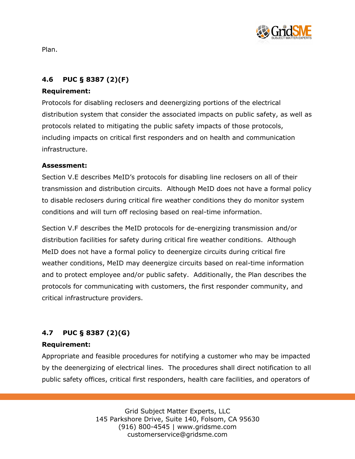

Plan.

# **4.6 PUC § 8387 (2)(F)**

#### **Requirement:**

Protocols for disabling reclosers and deenergizing portions of the electrical distribution system that consider the associated impacts on public safety, as well as protocols related to mitigating the public safety impacts of those protocols, including impacts on critical first responders and on health and communication infrastructure.

#### **Assessment:**

Section V.E describes MeID's protocols for disabling line reclosers on all of their transmission and distribution circuits. Although MeID does not have a formal policy to disable reclosers during critical fire weather conditions they do monitor system conditions and will turn off reclosing based on real-time information.

Section V.F describes the MeID protocols for de-energizing transmission and/or distribution facilities for safety during critical fire weather conditions. Although MeID does not have a formal policy to deenergize circuits during critical fire weather conditions, MeID may deenergize circuits based on real-time information and to protect employee and/or public safety. Additionally, the Plan describes the protocols for communicating with customers, the first responder community, and critical infrastructure providers.

# **4.7 PUC § 8387 (2)(G)**

#### **Requirement:**

Appropriate and feasible procedures for notifying a customer who may be impacted by the deenergizing of electrical lines. The procedures shall direct notification to all public safety offices, critical first responders, health care facilities, and operators of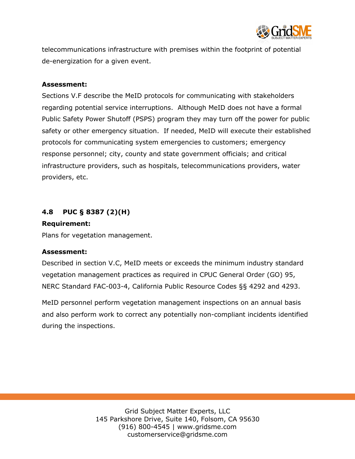

telecommunications infrastructure with premises within the footprint of potential de-energization for a given event.

#### **Assessment:**

Sections V.F describe the MeID protocols for communicating with stakeholders regarding potential service interruptions. Although MeID does not have a formal Public Safety Power Shutoff (PSPS) program they may turn off the power for public safety or other emergency situation. If needed, MeID will execute their established protocols for communicating system emergencies to customers; emergency response personnel; city, county and state government officials; and critical infrastructure providers, such as hospitals, telecommunications providers, water providers, etc.

#### **4.8 PUC § 8387 (2)(H)**

#### **Requirement:**

Plans for vegetation management.

#### **Assessment:**

Described in section V.C, MeID meets or exceeds the minimum industry standard vegetation management practices as required in CPUC General Order (GO) 95, NERC Standard FAC-003-4, California Public Resource Codes §§ 4292 and 4293.

MeID personnel perform vegetation management inspections on an annual basis and also perform work to correct any potentially non-compliant incidents identified during the inspections.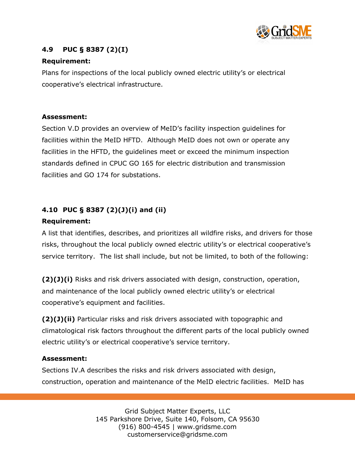

# **4.9 PUC § 8387 (2)(I)**

#### **Requirement:**

Plans for inspections of the local publicly owned electric utility's or electrical cooperative's electrical infrastructure.

#### **Assessment:**

Section V.D provides an overview of MeID's facility inspection guidelines for facilities within the MeID HFTD. Although MeID does not own or operate any facilities in the HFTD, the guidelines meet or exceed the minimum inspection standards defined in CPUC GO 165 for electric distribution and transmission facilities and GO 174 for substations.

## **4.10 PUC § 8387 (2)(J)(i) and (ii)**

#### **Requirement:**

A list that identifies, describes, and prioritizes all wildfire risks, and drivers for those risks, throughout the local publicly owned electric utility's or electrical cooperative's service territory. The list shall include, but not be limited, to both of the following:

**(2)(J)(i)** Risks and risk drivers associated with design, construction, operation, and maintenance of the local publicly owned electric utility's or electrical cooperative's equipment and facilities.

**(2)(J)(ii)** Particular risks and risk drivers associated with topographic and climatological risk factors throughout the different parts of the local publicly owned electric utility's or electrical cooperative's service territory.

#### **Assessment:**

Sections IV.A describes the risks and risk drivers associated with design, construction, operation and maintenance of the MeID electric facilities. MeID has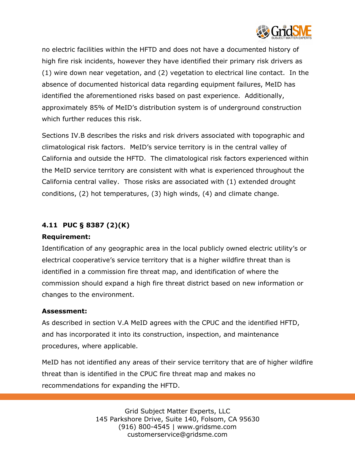

no electric facilities within the HFTD and does not have a documented history of high fire risk incidents, however they have identified their primary risk drivers as (1) wire down near vegetation, and (2) vegetation to electrical line contact. In the absence of documented historical data regarding equipment failures, MeID has identified the aforementioned risks based on past experience. Additionally, approximately 85% of MeID's distribution system is of underground construction which further reduces this risk.

Sections IV.B describes the risks and risk drivers associated with topographic and climatological risk factors. MeID's service territory is in the central valley of California and outside the HFTD. The climatological risk factors experienced within the MeID service territory are consistent with what is experienced throughout the California central valley. Those risks are associated with (1) extended drought conditions, (2) hot temperatures, (3) high winds, (4) and climate change.

#### **4.11 PUC § 8387 (2)(K)**

#### **Requirement:**

Identification of any geographic area in the local publicly owned electric utility's or electrical cooperative's service territory that is a higher wildfire threat than is identified in a commission fire threat map, and identification of where the commission should expand a high fire threat district based on new information or changes to the environment.

#### **Assessment:**

As described in section V.A MeID agrees with the CPUC and the identified HFTD, and has incorporated it into its construction, inspection, and maintenance procedures, where applicable.

MeID has not identified any areas of their service territory that are of higher wildfire threat than is identified in the CPUC fire threat map and makes no recommendations for expanding the HFTD.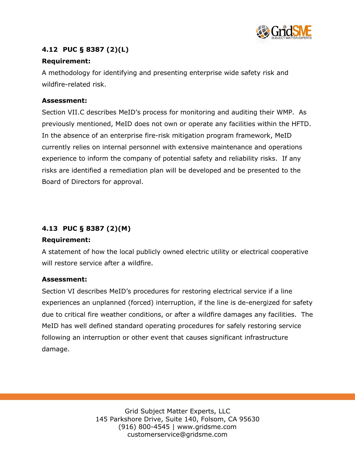

# **4.12 PUC § 8387 (2)(L)**

#### **Requirement:**

A methodology for identifying and presenting enterprise wide safety risk and wildfire-related risk.

#### **Assessment:**

Section VII.C describes MeID's process for monitoring and auditing their WMP. As previously mentioned, MeID does not own or operate any facilities within the HFTD. In the absence of an enterprise fire-risk mitigation program framework, MeID currently relies on internal personnel with extensive maintenance and operations experience to inform the company of potential safety and reliability risks. If any risks are identified a remediation plan will be developed and be presented to the Board of Directors for approval.

#### **4.13 PUC § 8387 (2)(M)**

#### **Requirement:**

A statement of how the local publicly owned electric utility or electrical cooperative will restore service after a wildfire.

#### **Assessment:**

Section VI describes MeID's procedures for restoring electrical service if a line experiences an unplanned (forced) interruption, if the line is de-energized for safety due to critical fire weather conditions, or after a wildfire damages any facilities. The MeID has well defined standard operating procedures for safely restoring service following an interruption or other event that causes significant infrastructure damage.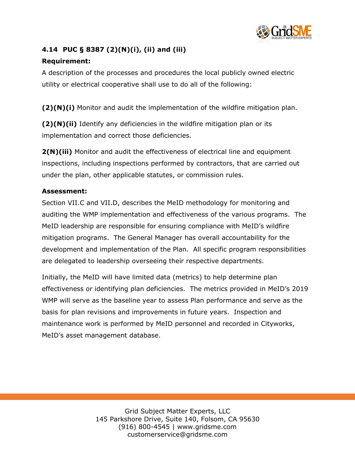

# **4.14 PUC § 8387 (2)(N)(i), (ii) and (iii)**

#### **Requirement:**

A description of the processes and procedures the local publicly owned electric utility or electrical cooperative shall use to do all of the following:

**(2)(N)(i)** Monitor and audit the implementation of the wildfire mitigation plan.

**(2)(N)(ii)** Identify any deficiencies in the wildfire mitigation plan or its implementation and correct those deficiencies.

**2(N)(iii)** Monitor and audit the effectiveness of electrical line and equipment inspections, including inspections performed by contractors, that are carried out under the plan, other applicable statutes, or commission rules.

#### **Assessment:**

Section VII.C and VII.D, describes the MeID methodology for monitoring and auditing the WMP implementation and effectiveness of the various programs. The MeID leadership are responsible for ensuring compliance with MeID's wildfire mitigation programs. The General Manager has overall accountability for the development and implementation of the Plan. All specific program responsibilities are delegated to leadership overseeing their respective departments.

Initially, the MeID will have limited data (metrics) to help determine plan effectiveness or identifying plan deficiencies. The metrics provided in MeID's 2019 WMP will serve as the baseline year to assess Plan performance and serve as the basis for plan revisions and improvements in future years. Inspection and maintenance work is performed by MeID personnel and recorded in Cityworks, MeID's asset management database.